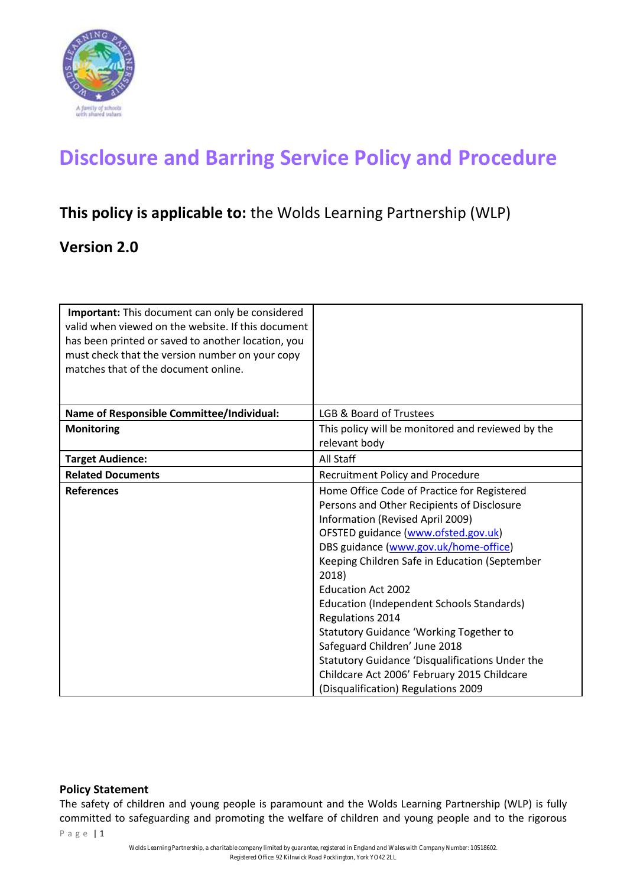

# **Disclosure and Barring Service Policy and Procedure**

# **This policy is applicable to:** the Wolds Learning Partnership (WLP)

## **Version 2.0**

| Important: This document can only be considered<br>valid when viewed on the website. If this document<br>has been printed or saved to another location, you<br>must check that the version number on your copy<br>matches that of the document online. |                                                                                                                                                                                                                                                                                                                                                                                                                                                                                                                                                                                                          |
|--------------------------------------------------------------------------------------------------------------------------------------------------------------------------------------------------------------------------------------------------------|----------------------------------------------------------------------------------------------------------------------------------------------------------------------------------------------------------------------------------------------------------------------------------------------------------------------------------------------------------------------------------------------------------------------------------------------------------------------------------------------------------------------------------------------------------------------------------------------------------|
|                                                                                                                                                                                                                                                        |                                                                                                                                                                                                                                                                                                                                                                                                                                                                                                                                                                                                          |
| <b>Name of Responsible Committee/Individual:</b>                                                                                                                                                                                                       | LGB & Board of Trustees                                                                                                                                                                                                                                                                                                                                                                                                                                                                                                                                                                                  |
| <b>Monitoring</b>                                                                                                                                                                                                                                      | This policy will be monitored and reviewed by the<br>relevant body                                                                                                                                                                                                                                                                                                                                                                                                                                                                                                                                       |
| <b>Target Audience:</b>                                                                                                                                                                                                                                | All Staff                                                                                                                                                                                                                                                                                                                                                                                                                                                                                                                                                                                                |
| <b>Related Documents</b>                                                                                                                                                                                                                               | <b>Recruitment Policy and Procedure</b>                                                                                                                                                                                                                                                                                                                                                                                                                                                                                                                                                                  |
| <b>References</b>                                                                                                                                                                                                                                      | Home Office Code of Practice for Registered<br>Persons and Other Recipients of Disclosure<br>Information (Revised April 2009)<br>OFSTED guidance (www.ofsted.gov.uk)<br>DBS guidance (www.gov.uk/home-office)<br>Keeping Children Safe in Education (September<br>2018)<br><b>Education Act 2002</b><br>Education (Independent Schools Standards)<br><b>Regulations 2014</b><br><b>Statutory Guidance 'Working Together to</b><br>Safeguard Children' June 2018<br>Statutory Guidance 'Disqualifications Under the<br>Childcare Act 2006' February 2015 Childcare<br>(Disqualification) Regulations 2009 |

#### **Policy Statement**

The safety of children and young people is paramount and the Wolds Learning Partnership (WLP) is fully committed to safeguarding and promoting the welfare of children and young people and to the rigorous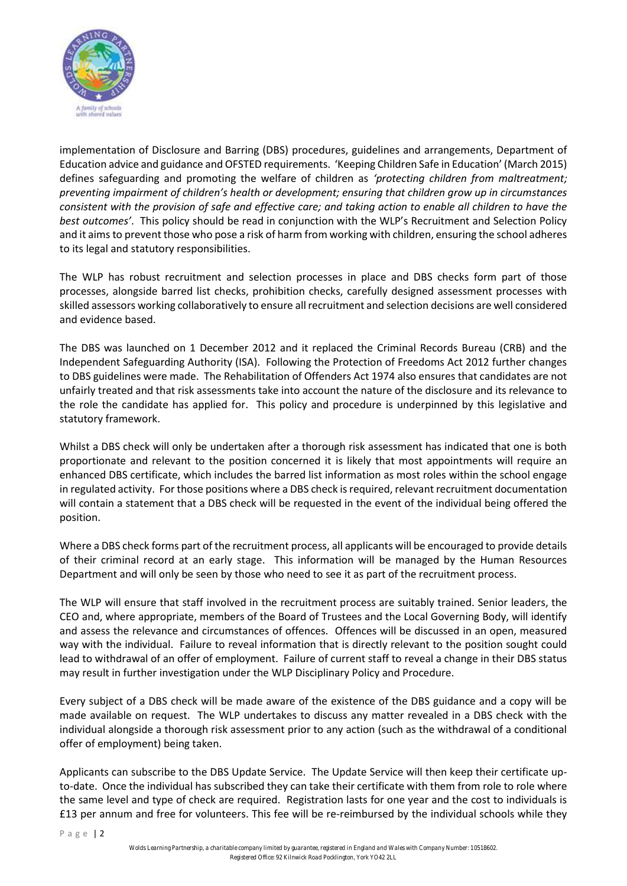

implementation of Disclosure and Barring (DBS) procedures, guidelines and arrangements, Department of Education advice and guidance and OFSTED requirements. 'Keeping Children Safe in Education' (March 2015) defines safeguarding and promoting the welfare of children as *'protecting children from maltreatment; preventing impairment of children's health or development; ensuring that children grow up in circumstances consistent with the provision of safe and effective care; and taking action to enable all children to have the best outcomes'*. This policy should be read in conjunction with the WLP's Recruitment and Selection Policy and it aims to prevent those who pose a risk of harm from working with children, ensuring the school adheres to its legal and statutory responsibilities.

The WLP has robust recruitment and selection processes in place and DBS checks form part of those processes, alongside barred list checks, prohibition checks, carefully designed assessment processes with skilled assessors working collaboratively to ensure all recruitment and selection decisions are well considered and evidence based.

The DBS was launched on 1 December 2012 and it replaced the Criminal Records Bureau (CRB) and the Independent Safeguarding Authority (ISA). Following the Protection of Freedoms Act 2012 further changes to DBS guidelines were made. The Rehabilitation of Offenders Act 1974 also ensures that candidates are not unfairly treated and that risk assessments take into account the nature of the disclosure and its relevance to the role the candidate has applied for. This policy and procedure is underpinned by this legislative and statutory framework.

Whilst a DBS check will only be undertaken after a thorough risk assessment has indicated that one is both proportionate and relevant to the position concerned it is likely that most appointments will require an enhanced DBS certificate, which includes the barred list information as most roles within the school engage in regulated activity. For those positions where a DBS check is required, relevant recruitment documentation will contain a statement that a DBS check will be requested in the event of the individual being offered the position.

Where a DBS check forms part of the recruitment process, all applicants will be encouraged to provide details of their criminal record at an early stage. This information will be managed by the Human Resources Department and will only be seen by those who need to see it as part of the recruitment process.

The WLP will ensure that staff involved in the recruitment process are suitably trained. Senior leaders, the CEO and, where appropriate, members of the Board of Trustees and the Local Governing Body, will identify and assess the relevance and circumstances of offences. Offences will be discussed in an open, measured way with the individual. Failure to reveal information that is directly relevant to the position sought could lead to withdrawal of an offer of employment. Failure of current staff to reveal a change in their DBS status may result in further investigation under the WLP Disciplinary Policy and Procedure.

Every subject of a DBS check will be made aware of the existence of the DBS guidance and a copy will be made available on request. The WLP undertakes to discuss any matter revealed in a DBS check with the individual alongside a thorough risk assessment prior to any action (such as the withdrawal of a conditional offer of employment) being taken.

Applicants can subscribe to the DBS Update Service. The Update Service will then keep their certificate upto-date. Once the individual has subscribed they can take their certificate with them from role to role where the same level and type of check are required. Registration lasts for one year and the cost to individuals is £13 per annum and free for volunteers. This fee will be re-reimbursed by the individual schools while they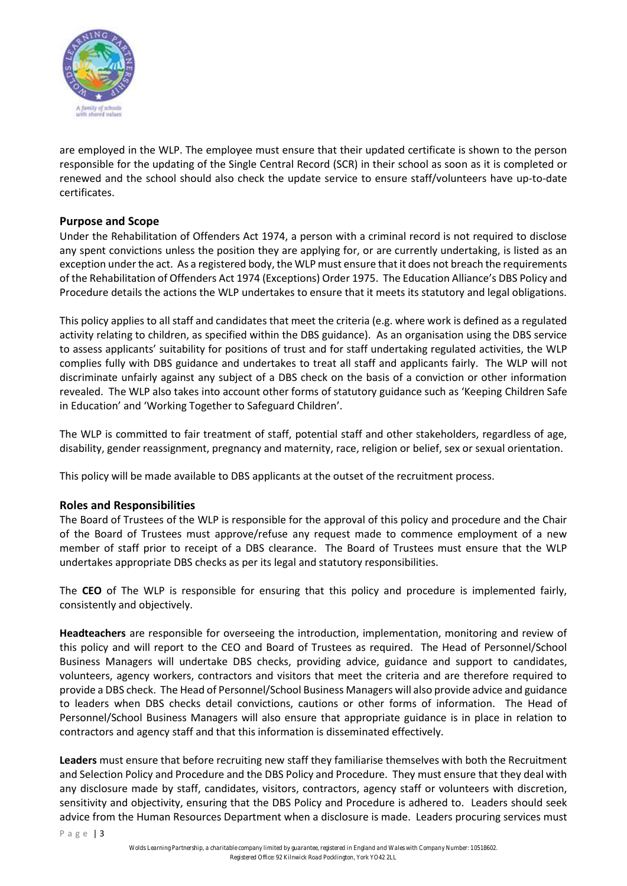

are employed in the WLP. The employee must ensure that their updated certificate is shown to the person responsible for the updating of the Single Central Record (SCR) in their school as soon as it is completed or renewed and the school should also check the update service to ensure staff/volunteers have up-to-date certificates.

## **Purpose and Scope**

Under the Rehabilitation of Offenders Act 1974, a person with a criminal record is not required to disclose any spent convictions unless the position they are applying for, or are currently undertaking, is listed as an exception under the act. As a registered body, the WLP must ensure that it does not breach the requirements of the Rehabilitation of Offenders Act 1974 (Exceptions) Order 1975. The Education Alliance's DBS Policy and Procedure details the actions the WLP undertakes to ensure that it meets its statutory and legal obligations.

This policy applies to all staff and candidates that meet the criteria (e.g. where work is defined as a regulated activity relating to children, as specified within the DBS guidance). As an organisation using the DBS service to assess applicants' suitability for positions of trust and for staff undertaking regulated activities, the WLP complies fully with DBS guidance and undertakes to treat all staff and applicants fairly. The WLP will not discriminate unfairly against any subject of a DBS check on the basis of a conviction or other information revealed. The WLP also takes into account other forms of statutory guidance such as 'Keeping Children Safe in Education' and 'Working Together to Safeguard Children'.

The WLP is committed to fair treatment of staff, potential staff and other stakeholders, regardless of age, disability, gender reassignment, pregnancy and maternity, race, religion or belief, sex or sexual orientation.

This policy will be made available to DBS applicants at the outset of the recruitment process.

#### **Roles and Responsibilities**

The Board of Trustees of the WLP is responsible for the approval of this policy and procedure and the Chair of the Board of Trustees must approve/refuse any request made to commence employment of a new member of staff prior to receipt of a DBS clearance. The Board of Trustees must ensure that the WLP undertakes appropriate DBS checks as per its legal and statutory responsibilities.

The **CEO** of The WLP is responsible for ensuring that this policy and procedure is implemented fairly, consistently and objectively.

**Headteachers** are responsible for overseeing the introduction, implementation, monitoring and review of this policy and will report to the CEO and Board of Trustees as required. The Head of Personnel/School Business Managers will undertake DBS checks, providing advice, guidance and support to candidates, volunteers, agency workers, contractors and visitors that meet the criteria and are therefore required to provide a DBS check. The Head of Personnel/School Business Managers will also provide advice and guidance to leaders when DBS checks detail convictions, cautions or other forms of information. The Head of Personnel/School Business Managers will also ensure that appropriate guidance is in place in relation to contractors and agency staff and that this information is disseminated effectively.

**Leaders** must ensure that before recruiting new staff they familiarise themselves with both the Recruitment and Selection Policy and Procedure and the DBS Policy and Procedure. They must ensure that they deal with any disclosure made by staff, candidates, visitors, contractors, agency staff or volunteers with discretion, sensitivity and objectivity, ensuring that the DBS Policy and Procedure is adhered to. Leaders should seek advice from the Human Resources Department when a disclosure is made. Leaders procuring services must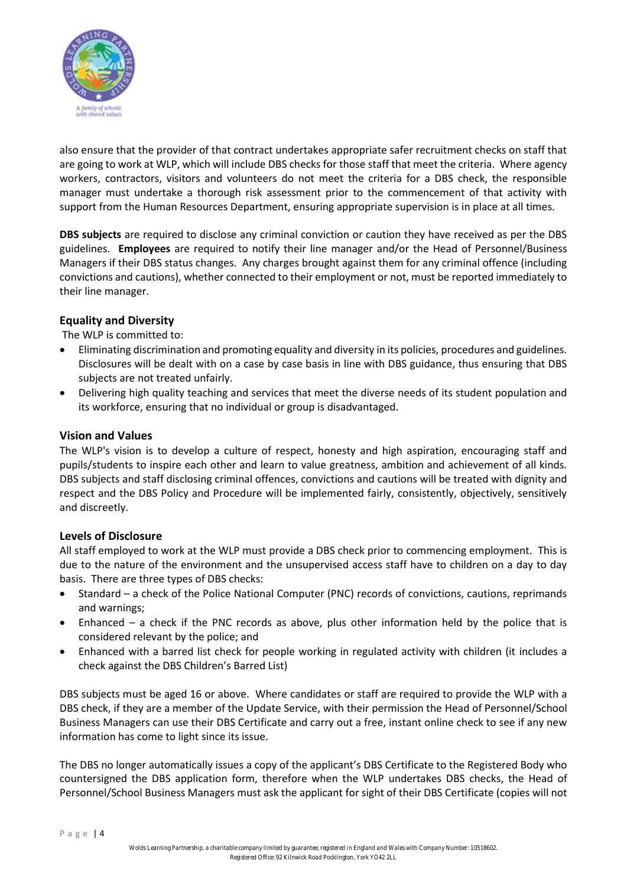

also ensure that the provider of that contract undertakes appropriate safer recruitment checks on staff that are going to work at WLP, which will include DBS checks for those staff that meet the criteria. Where agency workers, contractors, visitors and volunteers do not meet the criteria for a DBS check, the responsible manager must undertake a thorough risk assessment prior to the commencement of that activity with support from the Human Resources Department, ensuring appropriate supervision is in place at all times.

**DBS subjects** are required to disclose any criminal conviction or caution they have received as per the DBS guidelines. **Employees** are required to notify their line manager and/or the Head of Personnel/Business Managers if their DBS status changes. Any charges brought against them for any criminal offence (including convictions and cautions), whether connected to their employment or not, must be reported immediately to their line manager.

#### **Equality and Diversity**

The WLP is committed to:

- Eliminating discrimination and promoting equality and diversity in its policies, procedures and guidelines. Disclosures will be dealt with on a case by case basis in line with DBS guidance, thus ensuring that DBS subjects are not treated unfairly.
- Delivering high quality teaching and services that meet the diverse needs of its student population and its workforce, ensuring that no individual or group is disadvantaged.

#### **Vision and Values**

The WLP's vision is to develop a culture of respect, honesty and high aspiration, encouraging staff and pupils/students to inspire each other and learn to value greatness, ambition and achievement of all kinds. DBS subjects and staff disclosing criminal offences, convictions and cautions will be treated with dignity and respect and the DBS Policy and Procedure will be implemented fairly, consistently, objectively, sensitively and discreetly.

#### **Levels of Disclosure**

All staff employed to work at the WLP must provide a DBS check prior to commencing employment. This is due to the nature of the environment and the unsupervised access staff have to children on a day to day basis. There are three types of DBS checks:

- Standard a check of the Police National Computer (PNC) records of convictions, cautions, reprimands and warnings;
- Enhanced  $-$  a check if the PNC records as above, plus other information held by the police that is considered relevant by the police; and
- Enhanced with a barred list check for people working in regulated activity with children (it includes a check against the DBS Children's Barred List)

DBS subjects must be aged 16 or above. Where candidates or staff are required to provide the WLP with a DBS check, if they are a member of the Update Service, with their permission the Head of Personnel/School Business Managers can use their DBS Certificate and carry out a free, instant online check to see if any new information has come to light since its issue.

The DBS no longer automatically issues a copy of the applicant's DBS Certificate to the Registered Body who countersigned the DBS application form, therefore when the WLP undertakes DBS checks, the Head of Personnel/School Business Managers must ask the applicant for sight of their DBS Certificate (copies will not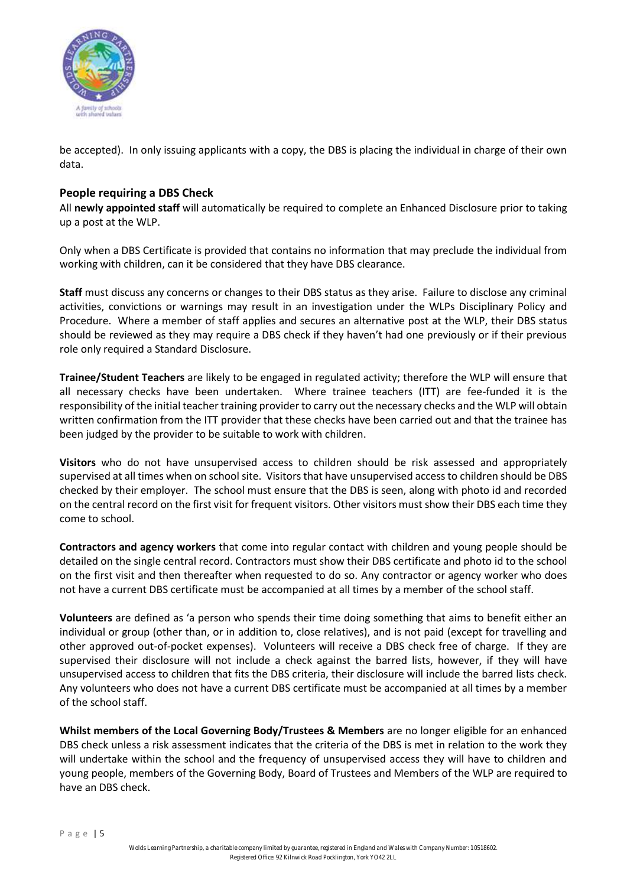

be accepted). In only issuing applicants with a copy, the DBS is placing the individual in charge of their own data.

#### **People requiring a DBS Check**

All **newly appointed staff** will automatically be required to complete an Enhanced Disclosure prior to taking up a post at the WLP.

Only when a DBS Certificate is provided that contains no information that may preclude the individual from working with children, can it be considered that they have DBS clearance.

**Staff** must discuss any concerns or changes to their DBS status as they arise. Failure to disclose any criminal activities, convictions or warnings may result in an investigation under the WLPs Disciplinary Policy and Procedure. Where a member of staff applies and secures an alternative post at the WLP, their DBS status should be reviewed as they may require a DBS check if they haven't had one previously or if their previous role only required a Standard Disclosure.

**Trainee/Student Teachers** are likely to be engaged in regulated activity; therefore the WLP will ensure that all necessary checks have been undertaken. Where trainee teachers (ITT) are fee-funded it is the responsibility of the initial teacher training provider to carry out the necessary checks and the WLP will obtain written confirmation from the ITT provider that these checks have been carried out and that the trainee has been judged by the provider to be suitable to work with children.

**Visitors** who do not have unsupervised access to children should be risk assessed and appropriately supervised at all times when on school site. Visitors that have unsupervised access to children should be DBS checked by their employer. The school must ensure that the DBS is seen, along with photo id and recorded on the central record on the first visit for frequent visitors. Other visitors must show their DBS each time they come to school.

**Contractors and agency workers** that come into regular contact with children and young people should be detailed on the single central record. Contractors must show their DBS certificate and photo id to the school on the first visit and then thereafter when requested to do so. Any contractor or agency worker who does not have a current DBS certificate must be accompanied at all times by a member of the school staff.

**Volunteers** are defined as 'a person who spends their time doing something that aims to benefit either an individual or group (other than, or in addition to, close relatives), and is not paid (except for travelling and other approved out-of-pocket expenses). Volunteers will receive a DBS check free of charge. If they are supervised their disclosure will not include a check against the barred lists, however, if they will have unsupervised access to children that fits the DBS criteria, their disclosure will include the barred lists check. Any volunteers who does not have a current DBS certificate must be accompanied at all times by a member of the school staff.

**Whilst members of the Local Governing Body/Trustees & Members** are no longer eligible for an enhanced DBS check unless a risk assessment indicates that the criteria of the DBS is met in relation to the work they will undertake within the school and the frequency of unsupervised access they will have to children and young people, members of the Governing Body, Board of Trustees and Members of the WLP are required to have an DBS check.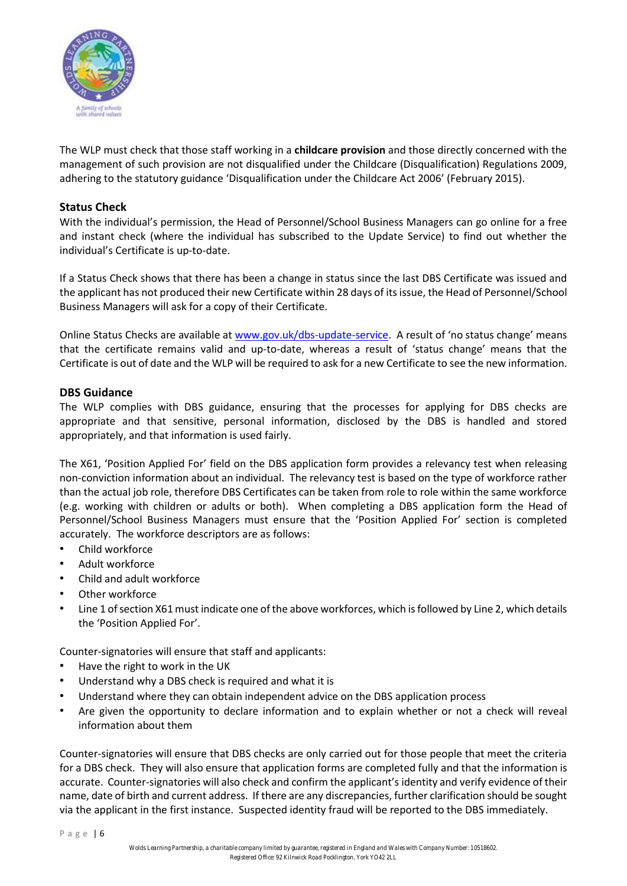

The WLP must check that those staff working in a **childcare provision** and those directly concerned with the management of such provision are not disqualified under the Childcare (Disqualification) Regulations 2009, adhering to the statutory guidance 'Disqualification under the Childcare Act 2006' (February 2015).

#### **Status Check**

With the individual's permission, the Head of Personnel/School Business Managers can go online for a free and instant check (where the individual has subscribed to the Update Service) to find out whether the individual's Certificate is up-to-date.

If a Status Check shows that there has been a change in status since the last DBS Certificate was issued and the applicant has not produced their new Certificate within 28 days of its issue, the Head of Personnel/School Business Managers will ask for a copy of their Certificate.

Online Status Checks are available at [www.gov.uk/dbs-update-service.](http://www.gov.uk/dbs-update-service) A result of 'no status change' means that the certificate remains valid and up-to-date, whereas a result of 'status change' means that the Certificate is out of date and the WLP will be required to ask for a new Certificate to see the new information.

#### **DBS Guidance**

The WLP complies with DBS guidance, ensuring that the processes for applying for DBS checks are appropriate and that sensitive, personal information, disclosed by the DBS is handled and stored appropriately, and that information is used fairly.

The X61, 'Position Applied For' field on the DBS application form provides a relevancy test when releasing non-conviction information about an individual. The relevancy test is based on the type of workforce rather than the actual job role, therefore DBS Certificates can be taken from role to role within the same workforce (e.g. working with children or adults or both). When completing a DBS application form the Head of Personnel/School Business Managers must ensure that the 'Position Applied For' section is completed accurately. The workforce descriptors are as follows:

- Child workforce
- Adult workforce
- Child and adult workforce
- Other workforce
- Line 1 of section X61 must indicate one of the above workforces, which is followed by Line 2, which details the 'Position Applied For'.

Counter-signatories will ensure that staff and applicants:

- Have the right to work in the UK
- Understand why a DBS check is required and what it is
- Understand where they can obtain independent advice on the DBS application process
- Are given the opportunity to declare information and to explain whether or not a check will reveal information about them

Counter-signatories will ensure that DBS checks are only carried out for those people that meet the criteria for a DBS check. They will also ensure that application forms are completed fully and that the information is accurate. Counter-signatories will also check and confirm the applicant's identity and verify evidence of their name, date of birth and current address. If there are any discrepancies, further clarification should be sought via the applicant in the first instance. Suspected identity fraud will be reported to the DBS immediately.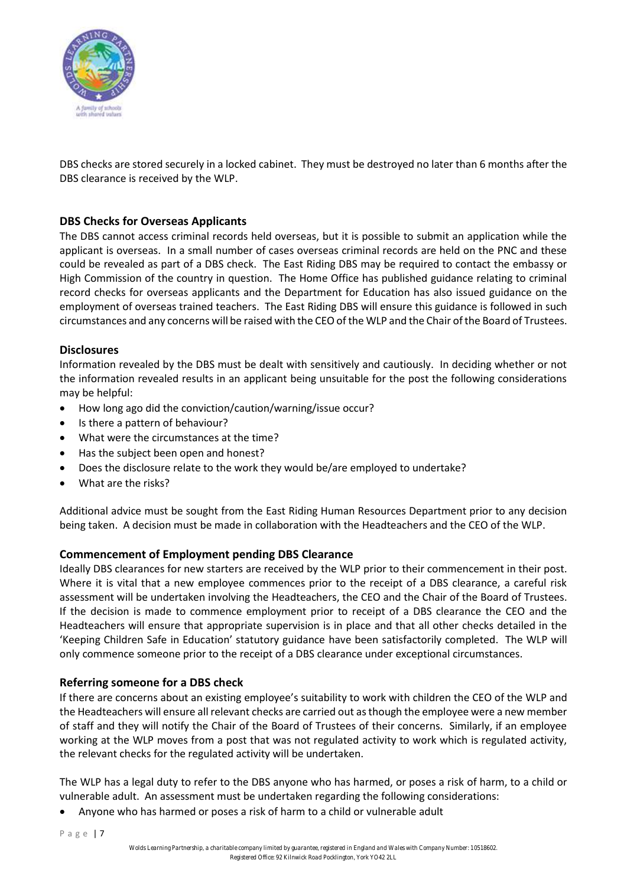

DBS checks are stored securely in a locked cabinet. They must be destroyed no later than 6 months after the DBS clearance is received by the WLP.

## **DBS Checks for Overseas Applicants**

The DBS cannot access criminal records held overseas, but it is possible to submit an application while the applicant is overseas. In a small number of cases overseas criminal records are held on the PNC and these could be revealed as part of a DBS check. The East Riding DBS may be required to contact the embassy or High Commission of the country in question. The Home Office has published guidance relating to criminal record checks for overseas applicants and the Department for Education has also issued guidance on the employment of overseas trained teachers. The East Riding DBS will ensure this guidance is followed in such circumstances and any concerns will be raised with the CEO of the WLP and the Chair of the Board of Trustees.

#### **Disclosures**

Information revealed by the DBS must be dealt with sensitively and cautiously. In deciding whether or not the information revealed results in an applicant being unsuitable for the post the following considerations may be helpful:

- How long ago did the conviction/caution/warning/issue occur?
- Is there a pattern of behaviour?
- What were the circumstances at the time?
- Has the subject been open and honest?
- Does the disclosure relate to the work they would be/are employed to undertake?
- What are the risks?

Additional advice must be sought from the East Riding Human Resources Department prior to any decision being taken. A decision must be made in collaboration with the Headteachers and the CEO of the WLP.

#### **Commencement of Employment pending DBS Clearance**

Ideally DBS clearances for new starters are received by the WLP prior to their commencement in their post. Where it is vital that a new employee commences prior to the receipt of a DBS clearance, a careful risk assessment will be undertaken involving the Headteachers, the CEO and the Chair of the Board of Trustees. If the decision is made to commence employment prior to receipt of a DBS clearance the CEO and the Headteachers will ensure that appropriate supervision is in place and that all other checks detailed in the 'Keeping Children Safe in Education' statutory guidance have been satisfactorily completed. The WLP will only commence someone prior to the receipt of a DBS clearance under exceptional circumstances.

#### **Referring someone for a DBS check**

If there are concerns about an existing employee's suitability to work with children the CEO of the WLP and the Headteachers will ensure all relevant checks are carried out as though the employee were a new member of staff and they will notify the Chair of the Board of Trustees of their concerns. Similarly, if an employee working at the WLP moves from a post that was not regulated activity to work which is regulated activity, the relevant checks for the regulated activity will be undertaken.

The WLP has a legal duty to refer to the DBS anyone who has harmed, or poses a risk of harm, to a child or vulnerable adult. An assessment must be undertaken regarding the following considerations:

• Anyone who has harmed or poses a risk of harm to a child or vulnerable adult

P a g e | 7